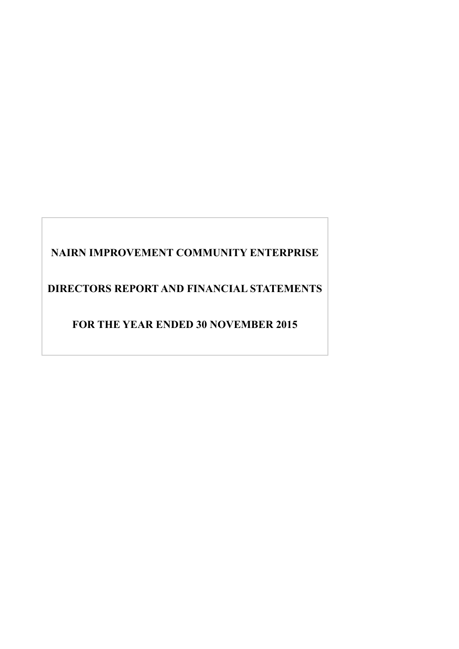# **NAIRN IMPROVEMENT COMMUNITY ENTERPRISE**

**DIRECTORS REPORT AND FINANCIAL STATEMENTS** 

**FOR THE YEAR ENDED 30 NOVEMBER 2015**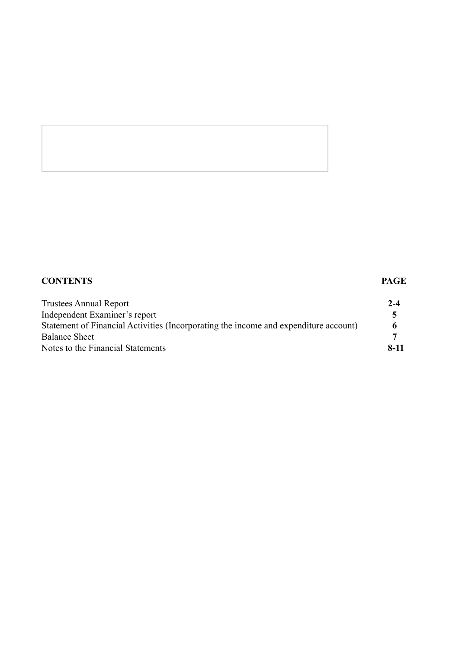# **CONTENTS PAGE** Trustees Annual Report **2-4** Independent Examiner's report **5** Statement of Financial Activities (Incorporating the income and expenditure account) **6** Balance Sheet **7** Notes to the Financial Statements **8-11**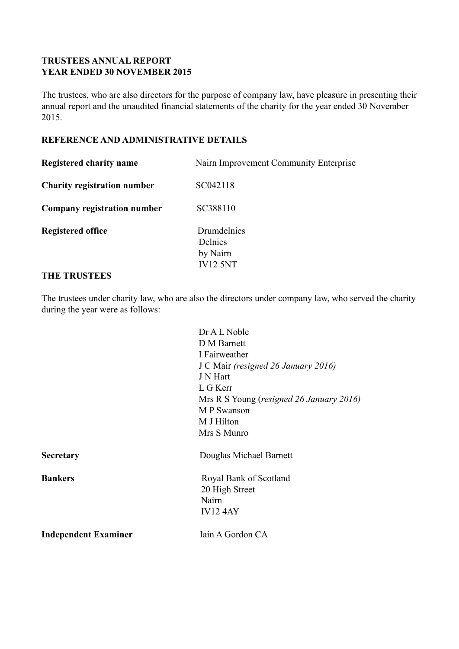# **TRUSTEES ANNUAL REPORT YEAR ENDED 30 NOVEMBER 2015**

The trustees, who are also directors for the purpose of company law, have pleasure in presenting their annual report and the unaudited financial statements of the charity for the year ended 30 November 2015.

# **REFERENCE AND ADMINISTRATIVE DETAILS**

| <b>Registered charity name</b>     | Nairn Improvement Community Enterprise                |
|------------------------------------|-------------------------------------------------------|
| <b>Charity registration number</b> | SC042118                                              |
| Company registration number        | SC388110                                              |
| <b>Registered office</b>           | Drumdelnies<br>Delnies<br>by Nairn<br><b>IV12 5NT</b> |

# **THE TRUSTEES**

The trustees under charity law, who are also the directors under company law, who served the charity during the year were as follows:

|                             | Dr A L Noble                             |
|-----------------------------|------------------------------------------|
|                             | D M Barnett                              |
|                             | I Fairweather                            |
|                             | J C Mair (resigned 26 January 2016)      |
|                             | J N Hart                                 |
|                             | L G Kerr                                 |
|                             | Mrs R S Young (resigned 26 January 2016) |
|                             | M P Swanson                              |
|                             | M J Hilton                               |
|                             | Mrs S Munro                              |
| <b>Secretary</b>            | Douglas Michael Barnett                  |
| <b>Bankers</b>              | Royal Bank of Scotland                   |
|                             | 20 High Street                           |
|                             | Nairn                                    |
|                             | <b>IV124AY</b>                           |
| <b>Independent Examiner</b> | Iain A Gordon CA                         |
|                             |                                          |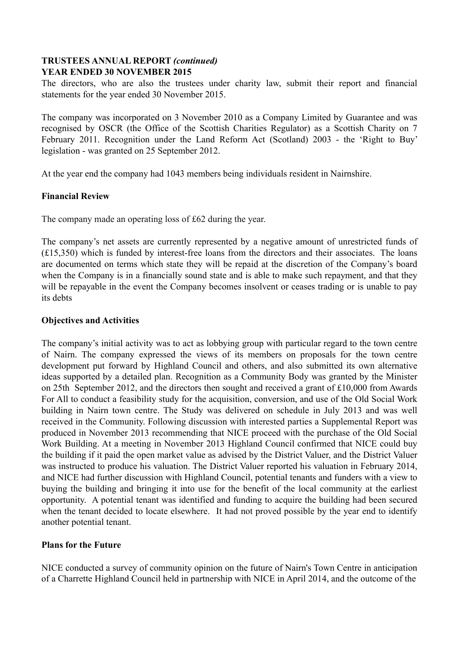# **TRUSTEES ANNUAL REPORT** *(continued)* **YEAR ENDED 30 NOVEMBER 2015**

The directors, who are also the trustees under charity law, submit their report and financial statements for the year ended 30 November 2015.

The company was incorporated on 3 November 2010 as a Company Limited by Guarantee and was recognised by OSCR (the Office of the Scottish Charities Regulator) as a Scottish Charity on 7 February 2011. Recognition under the Land Reform Act (Scotland) 2003 - the 'Right to Buy' legislation - was granted on 25 September 2012.

At the year end the company had 1043 members being individuals resident in Nairnshire.

# **Financial Review**

The company made an operating loss of £62 during the year.

The company's net assets are currently represented by a negative amount of unrestricted funds of (£15,350) which is funded by interest-free loans from the directors and their associates. The loans are documented on terms which state they will be repaid at the discretion of the Company's board when the Company is in a financially sound state and is able to make such repayment, and that they will be repayable in the event the Company becomes insolvent or ceases trading or is unable to pay its debts

#### **Objectives and Activities**

The company's initial activity was to act as lobbying group with particular regard to the town centre of Nairn. The company expressed the views of its members on proposals for the town centre development put forward by Highland Council and others, and also submitted its own alternative ideas supported by a detailed plan. Recognition as a Community Body was granted by the Minister on 25th September 2012, and the directors then sought and received a grant of £10,000 from Awards For All to conduct a feasibility study for the acquisition, conversion, and use of the Old Social Work building in Nairn town centre. The Study was delivered on schedule in July 2013 and was well received in the Community. Following discussion with interested parties a Supplemental Report was produced in November 2013 recommending that NICE proceed with the purchase of the Old Social Work Building. At a meeting in November 2013 Highland Council confirmed that NICE could buy the building if it paid the open market value as advised by the District Valuer, and the District Valuer was instructed to produce his valuation. The District Valuer reported his valuation in February 2014, and NICE had further discussion with Highland Council, potential tenants and funders with a view to buying the building and bringing it into use for the benefit of the local community at the earliest opportunity. A potential tenant was identified and funding to acquire the building had been secured when the tenant decided to locate elsewhere. It had not proved possible by the year end to identify another potential tenant.

# **Plans for the Future**

NICE conducted a survey of community opinion on the future of Nairn's Town Centre in anticipation of a Charrette Highland Council held in partnership with NICE in April 2014, and the outcome of the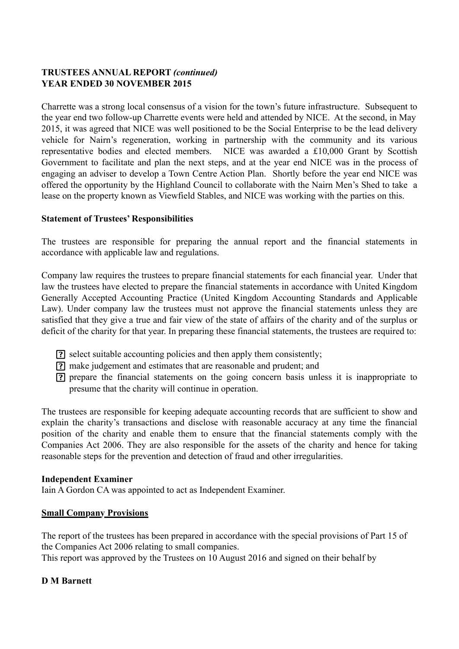# **TRUSTEES ANNUAL REPORT** *(continued)* **YEAR ENDED 30 NOVEMBER 2015**

Charrette was a strong local consensus of a vision for the town's future infrastructure. Subsequent to the year end two follow-up Charrette events were held and attended by NICE. At the second, in May 2015, it was agreed that NICE was well positioned to be the Social Enterprise to be the lead delivery vehicle for Nairn's regeneration, working in partnership with the community and its various representative bodies and elected members. NICE was awarded a £10,000 Grant by Scottish Government to facilitate and plan the next steps, and at the year end NICE was in the process of engaging an adviser to develop a Town Centre Action Plan. Shortly before the year end NICE was offered the opportunity by the Highland Council to collaborate with the Nairn Men's Shed to take a lease on the property known as Viewfield Stables, and NICE was working with the parties on this.

# **Statement of Trustees' Responsibilities**

The trustees are responsible for preparing the annual report and the financial statements in accordance with applicable law and regulations.

Company law requires the trustees to prepare financial statements for each financial year. Under that law the trustees have elected to prepare the financial statements in accordance with United Kingdom Generally Accepted Accounting Practice (United Kingdom Accounting Standards and Applicable Law). Under company law the trustees must not approve the financial statements unless they are satisfied that they give a true and fair view of the state of affairs of the charity and of the surplus or deficit of the charity for that year. In preparing these financial statements, the trustees are required to:

- select suitable accounting policies and then apply them consistently;
- make judgement and estimates that are reasonable and prudent; and
- prepare the financial statements on the going concern basis unless it is inappropriate to presume that the charity will continue in operation.

The trustees are responsible for keeping adequate accounting records that are sufficient to show and explain the charity's transactions and disclose with reasonable accuracy at any time the financial position of the charity and enable them to ensure that the financial statements comply with the Companies Act 2006. They are also responsible for the assets of the charity and hence for taking reasonable steps for the prevention and detection of fraud and other irregularities.

# **Independent Examiner**

Iain A Gordon CA was appointed to act as Independent Examiner.

# **Small Company Provisions**

The report of the trustees has been prepared in accordance with the special provisions of Part 15 of the Companies Act 2006 relating to small companies.

This report was approved by the Trustees on 10 August 2016 and signed on their behalf by

# **D M Barnett**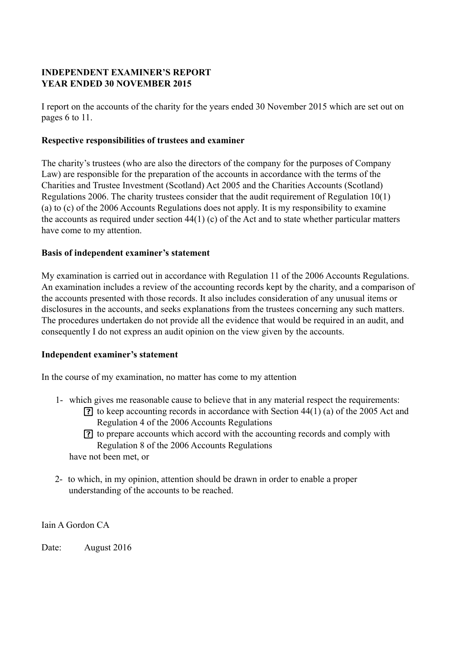# **INDEPENDENT EXAMINER'S REPORT YEAR ENDED 30 NOVEMBER 2015**

I report on the accounts of the charity for the years ended 30 November 2015 which are set out on pages 6 to 11.

# **Respective responsibilities of trustees and examiner**

The charity's trustees (who are also the directors of the company for the purposes of Company Law) are responsible for the preparation of the accounts in accordance with the terms of the Charities and Trustee Investment (Scotland) Act 2005 and the Charities Accounts (Scotland) Regulations 2006. The charity trustees consider that the audit requirement of Regulation 10(1) (a) to (c) of the 2006 Accounts Regulations does not apply. It is my responsibility to examine the accounts as required under section 44(1) (c) of the Act and to state whether particular matters have come to my attention.

# **Basis of independent examiner's statement**

My examination is carried out in accordance with Regulation 11 of the 2006 Accounts Regulations. An examination includes a review of the accounting records kept by the charity, and a comparison of the accounts presented with those records. It also includes consideration of any unusual items or disclosures in the accounts, and seeks explanations from the trustees concerning any such matters. The procedures undertaken do not provide all the evidence that would be required in an audit, and consequently I do not express an audit opinion on the view given by the accounts.

# **Independent examiner's statement**

In the course of my examination, no matter has come to my attention

- 1- which gives me reasonable cause to believe that in any material respect the requirements:
	- $\overline{?}$  to keep accounting records in accordance with Section 44(1) (a) of the 2005 Act and Regulation 4 of the 2006 Accounts Regulations
	- to prepare accounts which accord with the accounting records and comply with Regulation 8 of the 2006 Accounts Regulations

have not been met, or

2- to which, in my opinion, attention should be drawn in order to enable a proper understanding of the accounts to be reached.

Iain A Gordon CA

Date: August 2016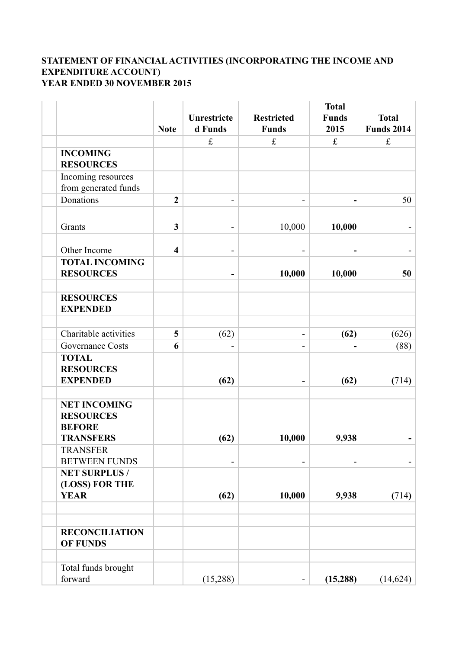# **STATEMENT OF FINANCIAL ACTIVITIES (INCORPORATING THE INCOME AND EXPENDITURE ACCOUNT) YEAR ENDED 30 NOVEMBER 2015**

|                                                                              | <b>Note</b>    | Unrestricte<br>d Funds   | <b>Restricted</b><br><b>Funds</b> | <b>Total</b><br><b>Funds</b><br>2015 | <b>Total</b><br><b>Funds 2014</b> |
|------------------------------------------------------------------------------|----------------|--------------------------|-----------------------------------|--------------------------------------|-----------------------------------|
|                                                                              |                | $\mathbf f$              | $\pounds$                         | $\pounds$                            | $\pounds$                         |
| <b>INCOMING</b><br><b>RESOURCES</b>                                          |                |                          |                                   |                                      |                                   |
| Incoming resources                                                           |                |                          |                                   |                                      |                                   |
| from generated funds                                                         |                |                          |                                   |                                      |                                   |
| Donations                                                                    | $\overline{2}$ | -                        | ۰                                 | -                                    | 50                                |
| Grants                                                                       | $\mathbf{3}$   | $\overline{\phantom{a}}$ | 10,000                            | 10,000                               |                                   |
| Other Income                                                                 | 4              | -                        |                                   |                                      |                                   |
| <b>TOTAL INCOMING</b><br><b>RESOURCES</b>                                    |                |                          | 10,000                            | 10,000                               | 50                                |
| <b>RESOURCES</b><br><b>EXPENDED</b>                                          |                |                          |                                   |                                      |                                   |
| Charitable activities                                                        | 5              | (62)                     | $\overline{\phantom{0}}$          | (62)                                 | (626)                             |
| Governance Costs                                                             | 6              |                          |                                   |                                      | (88)                              |
| <b>TOTAL</b><br><b>RESOURCES</b><br><b>EXPENDED</b>                          |                | (62)                     |                                   | (62)                                 | (714)                             |
|                                                                              |                |                          |                                   |                                      |                                   |
| <b>NET INCOMING</b><br><b>RESOURCES</b><br><b>BEFORE</b><br><b>TRANSFERS</b> |                | (62)                     | 10,000                            | 9,938                                |                                   |
| <b>TRANSFER</b>                                                              |                |                          |                                   |                                      |                                   |
| <b>BETWEEN FUNDS</b><br><b>NET SURPLUS /</b><br>(LOSS) FOR THE               |                |                          |                                   |                                      |                                   |
| <b>YEAR</b>                                                                  |                | (62)                     | 10,000                            | 9,938                                | (714)                             |
| <b>RECONCILIATION</b><br><b>OF FUNDS</b>                                     |                |                          |                                   |                                      |                                   |
| Total funds brought<br>forward                                               |                | (15,288)                 | -                                 | (15, 288)                            | (14, 624)                         |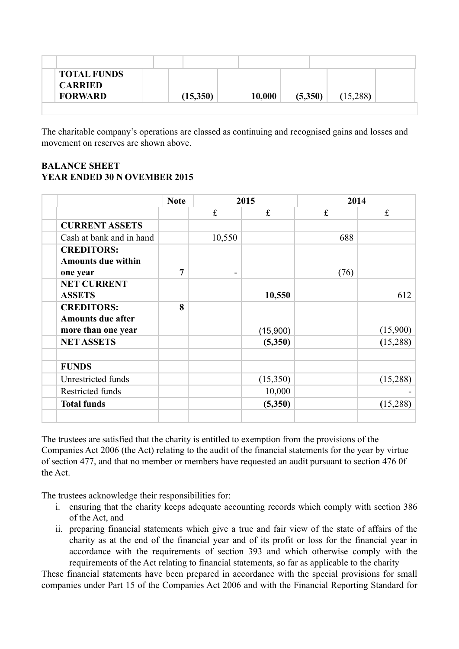| <b>TOTAL FUNDS</b><br><b>CARRIED</b><br><b>FORWARD</b> | 10,000<br>(15,350) | (5,350) | (15,288) |
|--------------------------------------------------------|--------------------|---------|----------|

The charitable company's operations are classed as continuing and recognised gains and losses and movement on reserves are shown above.

# **BALANCE SHEET YEAR ENDED 30 N OVEMBER 2015**

|                           | <b>Note</b>    | 2015      |             | 2014 |          |
|---------------------------|----------------|-----------|-------------|------|----------|
|                           |                | $\pounds$ | $\mathbf f$ | £    | f        |
| <b>CURRENT ASSETS</b>     |                |           |             |      |          |
| Cash at bank and in hand  |                | 10,550    |             | 688  |          |
| <b>CREDITORS:</b>         |                |           |             |      |          |
| <b>Amounts due within</b> |                |           |             |      |          |
| one year                  | $\overline{7}$ |           |             | (76) |          |
| <b>NET CURRENT</b>        |                |           |             |      |          |
| <b>ASSETS</b>             |                |           | 10,550      |      | 612      |
| <b>CREDITORS:</b>         | 8              |           |             |      |          |
| <b>Amounts due after</b>  |                |           |             |      |          |
| more than one year        |                |           | (15,900)    |      | (15,900) |
| <b>NET ASSETS</b>         |                |           | (5,350)     |      | (15,288) |
| <b>FUNDS</b>              |                |           |             |      |          |
| Unrestricted funds        |                |           | (15,350)    |      | (15,288) |
| Restricted funds          |                |           | 10,000      |      |          |
| <b>Total funds</b>        |                |           | (5,350)     |      | (15,288) |
|                           |                |           |             |      |          |

The trustees are satisfied that the charity is entitled to exemption from the provisions of the Companies Act 2006 (the Act) relating to the audit of the financial statements for the year by virtue of section 477, and that no member or members have requested an audit pursuant to section 476 0f the Act.

The trustees acknowledge their responsibilities for:

- i. ensuring that the charity keeps adequate accounting records which comply with section 386 of the Act, and
- ii. preparing financial statements which give a true and fair view of the state of affairs of the charity as at the end of the financial year and of its profit or loss for the financial year in accordance with the requirements of section 393 and which otherwise comply with the requirements of the Act relating to financial statements, so far as applicable to the charity

These financial statements have been prepared in accordance with the special provisions for small companies under Part 15 of the Companies Act 2006 and with the Financial Reporting Standard for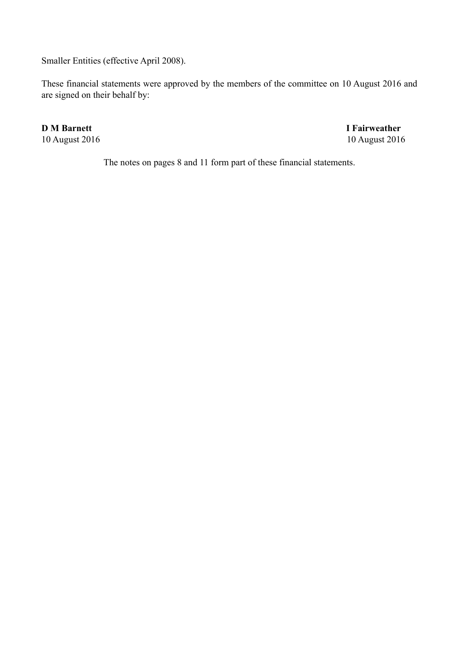Smaller Entities (effective April 2008).

These financial statements were approved by the members of the committee on 10 August 2016 and are signed on their behalf by:

**D M Barnett** I Fairweather 10 August 2016 10 August 2016

The notes on pages 8 and 11 form part of these financial statements.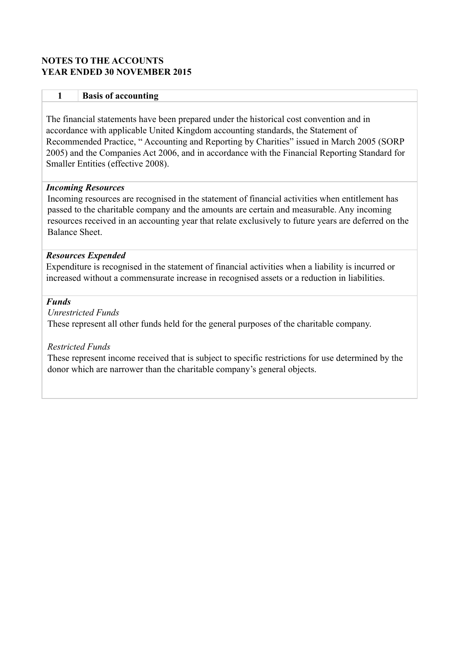# **NOTES TO THE ACCOUNTS YEAR ENDED 30 NOVEMBER 2015**

#### **1 Basis of accounting**

The financial statements have been prepared under the historical cost convention and in accordance with applicable United Kingdom accounting standards, the Statement of Recommended Practice, " Accounting and Reporting by Charities" issued in March 2005 (SORP 2005) and the Companies Act 2006, and in accordance with the Financial Reporting Standard for Smaller Entities (effective 2008).

#### *Incoming Resources*

Incoming resources are recognised in the statement of financial activities when entitlement has passed to the charitable company and the amounts are certain and measurable. Any incoming resources received in an accounting year that relate exclusively to future years are deferred on the Balance Sheet.

#### *Resources Expended*

Expenditure is recognised in the statement of financial activities when a liability is incurred or increased without a commensurate increase in recognised assets or a reduction in liabilities.

#### *Funds*

*Unrestricted Funds* These represent all other funds held for the general purposes of the charitable company.

# *Restricted Funds*

These represent income received that is subject to specific restrictions for use determined by the donor which are narrower than the charitable company's general objects.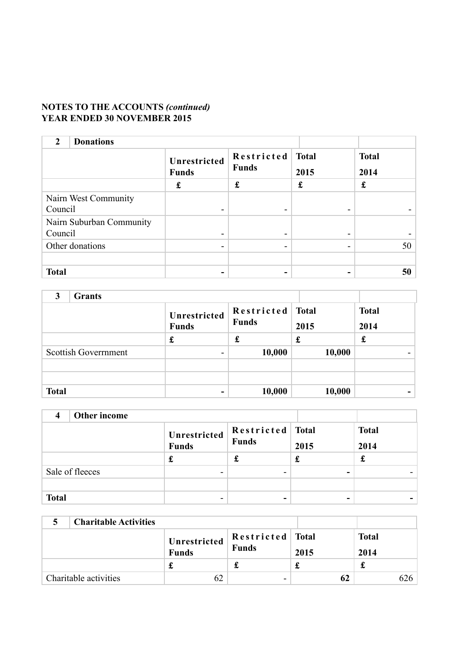# **NOTES TO THE ACCOUNTS** *(continued)* **YEAR ENDED 30 NOVEMBER 2015**

| <b>Donations</b><br>$\mathfrak{D}$ |                              |                            |                      |                      |
|------------------------------------|------------------------------|----------------------------|----------------------|----------------------|
|                                    | Unrestricted<br><b>Funds</b> | Restricted<br><b>Funds</b> | <b>Total</b><br>2015 | <b>Total</b><br>2014 |
|                                    | £                            | £                          | £                    | £                    |
| Nairn West Community               |                              |                            |                      |                      |
| Council                            | -                            |                            |                      |                      |
| Nairn Suburban Community           |                              |                            |                      |                      |
| Council                            | -                            |                            |                      |                      |
| Other donations                    | -                            | $\overline{\phantom{0}}$   |                      | 50                   |
|                                    |                              |                            |                      |                      |
| <b>Total</b>                       | -                            | $\overline{\phantom{0}}$   |                      | 50                   |

| 2            |                            |                              |                            |                      |                      |
|--------------|----------------------------|------------------------------|----------------------------|----------------------|----------------------|
|              |                            | Unrestricted<br><b>Funds</b> | Restricted<br><b>Funds</b> | <b>Total</b><br>2015 | <b>Total</b><br>2014 |
|              |                            | £                            | £                          | £                    | £                    |
|              | <b>Scottish Government</b> | -                            | 10,000                     | 10,000               |                      |
|              |                            |                              |                            |                      |                      |
|              |                            |                              |                            |                      |                      |
| <b>Total</b> |                            | -                            | 10,000                     | 10,000               |                      |

|              | Other income    |                          |                      |  |
|--------------|-----------------|--------------------------|----------------------|--|
|              |                 | Restricted Total<br>2015 | <b>Total</b><br>2014 |  |
|              |                 | t                        |                      |  |
|              | Sale of fleeces |                          |                      |  |
|              |                 |                          |                      |  |
| <b>Total</b> |                 |                          |                      |  |

| <b>Charitable Activities</b> |                              |                           |      |                      |
|------------------------------|------------------------------|---------------------------|------|----------------------|
|                              | Unrestricted<br><b>Funds</b> | Restricted Total<br>Funds | 2015 | <b>Total</b><br>2014 |
|                              |                              |                           |      |                      |
| Charitable activities        |                              | -                         | 62   |                      |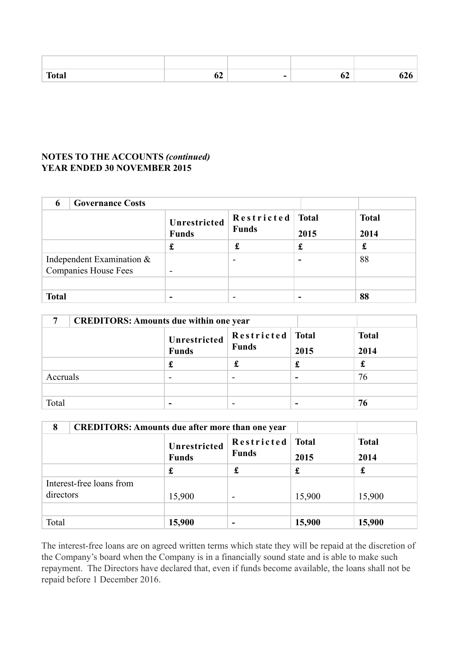| $T_{\alpha}$ tak<br>ual | -- | - | v. |  |
|-------------------------|----|---|----|--|

# **NOTES TO THE ACCOUNTS** *(continued)* **YEAR ENDED 30 NOVEMBER 2015**

| 6            |                                                             |                              |                            |                      |                      |
|--------------|-------------------------------------------------------------|------------------------------|----------------------------|----------------------|----------------------|
|              |                                                             | Unrestricted<br><b>Funds</b> | Restricted<br><b>Funds</b> | <b>Total</b><br>2015 | <b>Total</b><br>2014 |
|              |                                                             | £                            |                            | £                    | £                    |
|              | Independent Examination $\&$<br><b>Companies House Fees</b> |                              | $\,$                       |                      | 88                   |
|              |                                                             |                              |                            |                      |                      |
| <b>Total</b> |                                                             |                              | $\,$                       | -                    | 88                   |

| <b>CREDITORS: Amounts due within one year</b> |                                                                        |                      |   |    |
|-----------------------------------------------|------------------------------------------------------------------------|----------------------|---|----|
|                                               | $\left \frac{\text{Restricted}}{\text{Funds}}\right $<br>Total<br>2015 | <b>Total</b><br>2014 |   |    |
|                                               |                                                                        | £                    |   | £  |
| Accruals                                      | -                                                                      |                      | - | 76 |
|                                               |                                                                        |                      |   |    |
| Total                                         | -                                                                      |                      |   | 76 |

| 8                                     | <b>CREDITORS: Amounts due after more than one year</b> |                            |                      |                      |  |  |  |
|---------------------------------------|--------------------------------------------------------|----------------------------|----------------------|----------------------|--|--|--|
|                                       | Unrestricted<br><b>Funds</b>                           | Restricted<br><b>Funds</b> | <b>Total</b><br>2015 | <b>Total</b><br>2014 |  |  |  |
|                                       | £                                                      | £                          | £                    | £                    |  |  |  |
| Interest-free loans from<br>directors | 15,900                                                 |                            | 15,900               | 15,900               |  |  |  |
|                                       |                                                        |                            |                      |                      |  |  |  |
| Total                                 | 15,900                                                 |                            | 15,900               | 15,900               |  |  |  |

The interest-free loans are on agreed written terms which state they will be repaid at the discretion of the Company's board when the Company is in a financially sound state and is able to make such repayment. The Directors have declared that, even if funds become available, the loans shall not be repaid before 1 December 2016.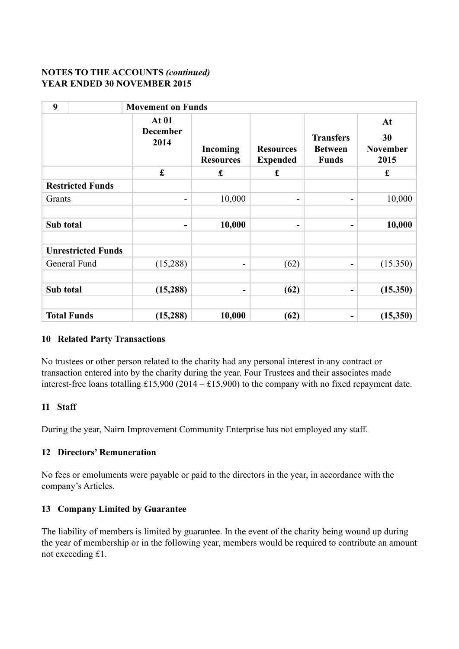# **NOTES TO THE ACCOUNTS** *(continued)* **YEAR ENDED 30 NOVEMBER 2015**

| 9         |                           | <b>Movement on Funds</b>                |                              |                                     |                                                    |                                     |  |  |
|-----------|---------------------------|-----------------------------------------|------------------------------|-------------------------------------|----------------------------------------------------|-------------------------------------|--|--|
|           |                           | <b>At 01</b><br><b>December</b><br>2014 | Incoming<br><b>Resources</b> | <b>Resources</b><br><b>Expended</b> | <b>Transfers</b><br><b>Between</b><br><b>Funds</b> | At<br>30<br><b>November</b><br>2015 |  |  |
|           |                           | $\pmb{\mathfrak{L}}$                    | $\pmb{\mathfrak{L}}$         | £                                   |                                                    | $\pmb{\mathfrak{L}}$                |  |  |
|           | <b>Restricted Funds</b>   |                                         |                              |                                     |                                                    |                                     |  |  |
| Grants    |                           | -                                       | 10,000                       | -                                   | Ξ.                                                 | 10,000                              |  |  |
|           |                           |                                         |                              |                                     |                                                    |                                     |  |  |
| Sub total |                           | $\overline{\phantom{a}}$                | 10,000                       | -                                   | -                                                  | 10,000                              |  |  |
|           | <b>Unrestricted Funds</b> |                                         |                              |                                     |                                                    |                                     |  |  |
|           | General Fund              | (15,288)                                | ۰.                           | (62)                                | -                                                  | (15.350)                            |  |  |
|           |                           |                                         |                              |                                     |                                                    |                                     |  |  |
| Sub total |                           | (15, 288)                               | ۰                            | (62)                                | -                                                  | (15.350)                            |  |  |
|           |                           |                                         |                              |                                     |                                                    |                                     |  |  |
|           | <b>Total Funds</b>        | (15, 288)                               | 10,000                       | (62)                                |                                                    | (15,350)                            |  |  |

# **10 Related Party Transactions**

No trustees or other person related to the charity had any personal interest in any contract or transaction entered into by the charity during the year. Four Trustees and their associates made interest-free loans totalling £15,900 (2014 – £15,900) to the company with no fixed repayment date.

# **11 Staff**

During the year, Nairn Improvement Community Enterprise has not employed any staff.

# **12 Directors' Remuneration**

No fees or emoluments were payable or paid to the directors in the year, in accordance with the company's Articles.

# **13 Company Limited by Guarantee**

The liability of members is limited by guarantee. In the event of the charity being wound up during the year of membership or in the following year, members would be required to contribute an amount not exceeding £1.